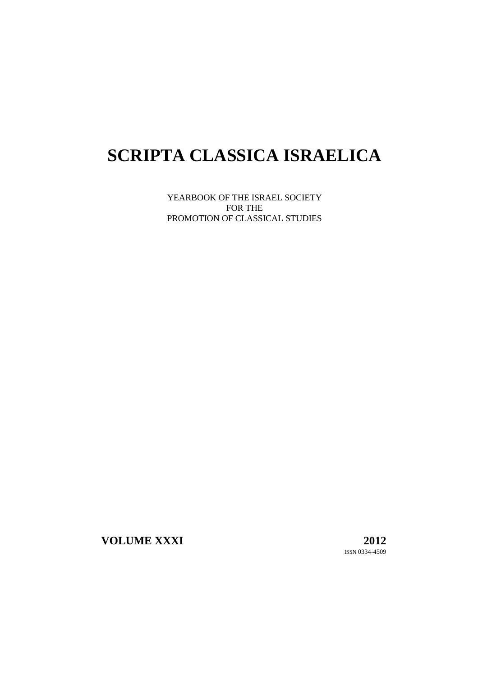# **SCRIPTA CLASSICA ISRAELICA**

YEARBOOK OF THE ISRAEL SOCIETY FOR THE PROMOTION OF CLASSICAL STUDIES

**VOLUME XXXI 2012**

ISSN 0334-4509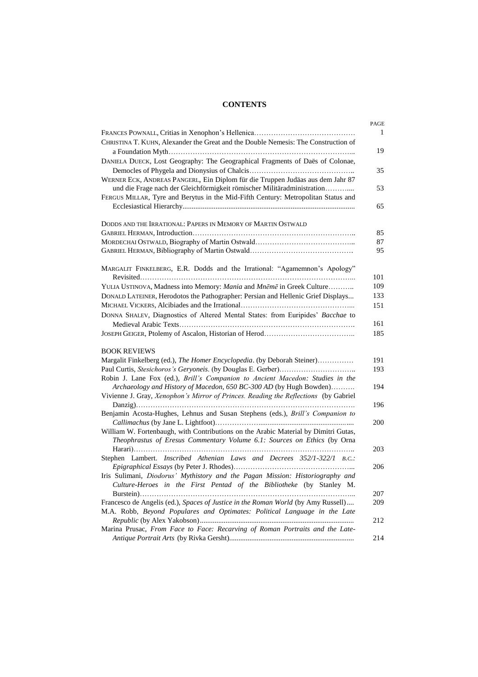# **CONTENTS**

| CHRISTINA T. KUHN, Alexander the Great and the Double Nemesis: The Construction of                                                                              |
|-----------------------------------------------------------------------------------------------------------------------------------------------------------------|
| DANIELA DUECK, Lost Geography: The Geographical Fragments of Daës of Colonae,                                                                                   |
| WERNER ECK, ANDREAS PANGERL, Ein Diplom für die Truppen Judäas aus dem Jahr 87<br>und die Frage nach der Gleichförmigkeit römischer Militäradministration       |
| FERGUS MILLAR, Tyre and Berytus in the Mid-Fifth Century: Metropolitan Status and                                                                               |
| DODDS AND THE IRRATIONAL: PAPERS IN MEMORY OF MARTIN OSTWALD                                                                                                    |
|                                                                                                                                                                 |
|                                                                                                                                                                 |
| MARGALIT FINKELBERG, E.R. Dodds and the Irrational: "Agamemnon's Apology"                                                                                       |
| YULIA USTINOVA, Madness into Memory: Mania and Mnēmē in Greek Culture                                                                                           |
| DONALD LATEINER, Herodotos the Pathographer: Persian and Hellenic Grief Displays                                                                                |
| DONNA SHALEV, Diagnostics of Altered Mental States: from Euripides' Bacchae to                                                                                  |
|                                                                                                                                                                 |
| <b>BOOK REVIEWS</b>                                                                                                                                             |
| Margalit Finkelberg (ed.), The Homer Encyclopedia. (by Deborah Steiner)                                                                                         |
| Robin J. Lane Fox (ed.), Brill's Companion to Ancient Macedon: Studies in the<br>Archaeology and History of Macedon, 650 BC-300 AD (by Hugh Bowden)             |
| Vivienne J. Gray, Xenophon's Mirror of Princes. Reading the Reflections (by Gabriel                                                                             |
| Benjamin Acosta-Hughes, Lehnus and Susan Stephens (eds.), Brill's Companion to                                                                                  |
| William W. Fortenbaugh, with Contributions on the Arabic Material by Dimitri Gutas,<br>Theophrastus of Eresus Commentary Volume 6.1: Sources on Ethics (by Orna |
| Stephen Lambert. Inscribed Athenian Laws and Decrees 352/1-322/1 B.C.:                                                                                          |
| Iris Sulimani, Diodorus' Mythistory and the Pagan Mission: Historiography and<br>Culture-Heroes in the First Pentad of the Bibliotheke (by Stanley M.<br>.      |
| Francesco de Angelis (ed.), Spaces of Justice in the Roman World (by Amy Russell)<br>M.A. Robb, Beyond Populares and Optimates: Political Language in the Late  |
| Marina Prusac, From Face to Face: Recarving of Roman Portraits and the Late-                                                                                    |
|                                                                                                                                                                 |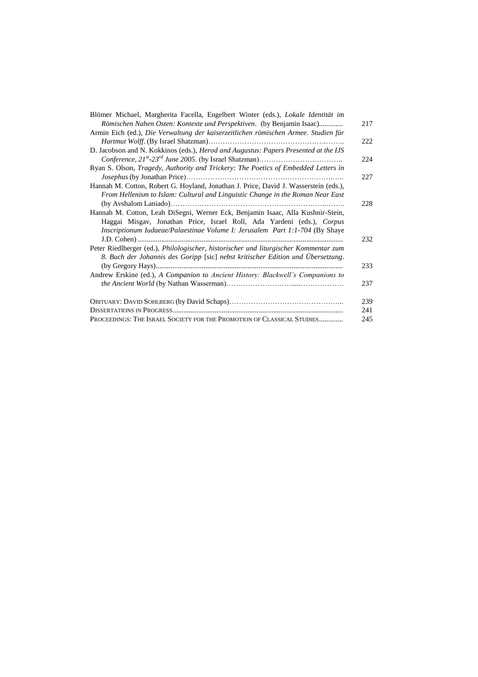| Blömer Michael, Margherita Facella, Engelbert Winter (eds.), Lokale Identität im     |     |
|--------------------------------------------------------------------------------------|-----|
| Römischen Nahen Osten: Kontexte und Perspektiven. (by Benjamin Isaac)                | 217 |
| Armin Eich (ed.), Die Verwaltung der kaiserzeitlichen römischen Armee. Studien für   |     |
|                                                                                      | 222 |
| D. Jacobson and N. Kokkinos (eds.), Herod and Augustus: Papers Presented at the IJS  |     |
|                                                                                      | 224 |
| Ryan S. Olson, Tragedy, Authority and Trickery: The Poetics of Embedded Letters in   |     |
|                                                                                      | 227 |
| Hannah M. Cotton, Robert G. Hoyland, Jonathan J. Price, David J. Wasserstein (eds.), |     |
| From Hellenism to Islam: Cultural and Linguistic Change in the Roman Near East       |     |
|                                                                                      | 228 |
| Hannah M. Cotton, Leah DiSegni, Werner Eck, Benjamin Isaac, Alla Kushnir-Stein,      |     |
| Haggai Misgav, Jonathan Price, Israel Roll, Ada Yardeni (eds.), Corpus               |     |
| Inscriptionum Iudaeae/Palaestinae Volume I: Jerusalem Part 1:1-704 (By Shaye         |     |
|                                                                                      | 232 |
| Peter Riedlberger (ed.), Philologischer, historischer und liturgischer Kommentar zum |     |
| 8. Buch der Johannis des Goripp [sic] nebst kritischer Edition und Übersetzung.      |     |
|                                                                                      | 233 |
| Andrew Erskine (ed.), A Companion to Ancient History: Blackwell's Companions to      |     |
|                                                                                      | 237 |
|                                                                                      | 239 |
|                                                                                      | 241 |
| PROCEEDINGS: THE ISRAEL SOCIETY FOR THE PROMOTION OF CLASSICAL STUDIES               | 245 |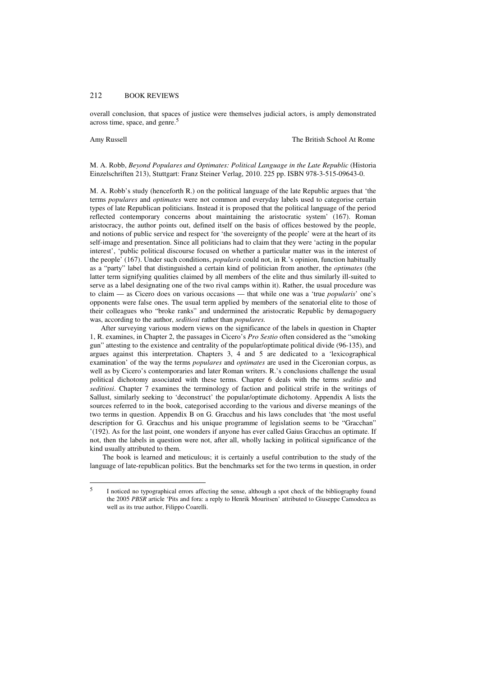# 212 BOOK REVIEWS

overall conclusion, that spaces of justice were themselves judicial actors, is amply demonstrated across time, space, and genre.<sup>5</sup>

 $\overline{a}$ 

Amy Russell The British School At Rome

## M. A. Robb, *Beyond Populares and Optimates: Political Language in the Late Republic* (Historia Einzelschriften 213), Stuttgart: Franz Steiner Verlag, 2010. 225 pp. ISBN 978-3-515-09643-0.

M. A. Robb's study (henceforth R.) on the political language of the late Republic argues that 'the terms *populares* and *optimates* were not common and everyday labels used to categorise certain types of late Republican politicians. Instead it is proposed that the political language of the period reflected contemporary concerns about maintaining the aristocratic system' (167). Roman aristocracy, the author points out, defined itself on the basis of offices bestowed by the people, and notions of public service and respect for 'the sovereignty of the people' were at the heart of its self-image and presentation. Since all politicians had to claim that they were 'acting in the popular interest', 'public political discourse focused on whether a particular matter was in the interest of the people' (167). Under such conditions, *popularis* could not, in R.'s opinion, function habitually as a "party" label that distinguished a certain kind of politician from another, the *optimates* (the latter term signifying qualities claimed by all members of the elite and thus similarly ill-suited to serve as a label designating one of the two rival camps within it). Rather, the usual procedure was to claim — as Cicero does on various occasions — that while one was a 'true *popularis*' one's opponents were false ones. The usual term applied by members of the senatorial elite to those of their colleagues who "broke ranks" and undermined the aristocratic Republic by demagoguery was, according to the author, *seditiosi* rather than *populares.* 

After surveying various modern views on the significance of the labels in question in Chapter 1, R. examines, in Chapter 2, the passages in Cicero's *Pro Sestio* often considered as the "smoking gun" attesting to the existence and centrality of the popular/optimate political divide (96-135), and argues against this interpretation. Chapters 3, 4 and 5 are dedicated to a 'lexicographical examination' of the way the terms *populares* and *optimates* are used in the Ciceronian corpus, as well as by Cicero's contemporaries and later Roman writers. R.'s conclusions challenge the usual political dichotomy associated with these terms. Chapter 6 deals with the terms *seditio* and *seditiosi*. Chapter 7 examines the terminology of faction and political strife in the writings of Sallust, similarly seeking to 'deconstruct' the popular/optimate dichotomy. Appendix A lists the sources referred to in the book, categorised according to the various and diverse meanings of the two terms in question. Appendix B on G. Gracchus and his laws concludes that 'the most useful description for G. Gracchus and his unique programme of legislation seems to be "Gracchan" '(192). As for the last point, one wonders if anyone has ever called Gaius Gracchus an optimate. If not, then the labels in question were not, after all, wholly lacking in political significance of the kind usually attributed to them.

 The book is learned and meticulous; it is certainly a useful contribution to the study of the language of late-republican politics. But the benchmarks set for the two terms in question, in order

<sup>5</sup> I noticed no typographical errors affecting the sense, although a spot check of the bibliography found the 2005 *PBSR* article 'Pits and fora: a reply to Henrik Mouritsen' attributed to Giuseppe Camodeca as well as its true author, Filippo Coarelli.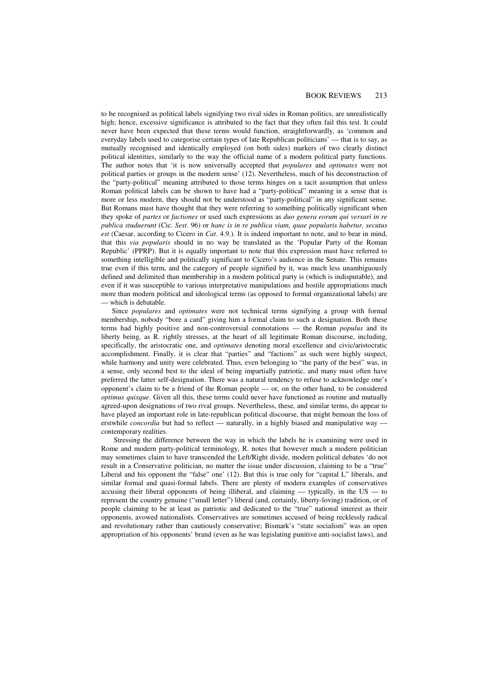to be recognised as political labels signifying two rival sides in Roman politics, are unrealistically high; hence, excessive significance is attributed to the fact that they often fail this test. It could never have been expected that these terms would function, straightforwardly, as 'common and everyday labels used to categorise certain types of late Republican politicians' — that is to say, as mutually recognised and identically employed (on both sides) markers of two clearly distinct political identities, similarly to the way the official name of a modern political party functions. The author notes that 'it is now universally accepted that *populares* and *optimates* were not political parties or groups in the modern sense' (12). Nevertheless, much of his deconstruction of the "party-political" meaning attributed to those terms hinges on a tacit assumption that unless Roman political labels can be shown to have had a "party-political" meaning in a sense that is more or less modern, they should not be understood as "party-political" in any significant sense. But Romans must have thought that they were referring to something politically significant when they spoke of *partes* or *factiones* or used such expressions as *duo genera eorum qui versari in re publica studuerunt* (Cic. *Sest*. 96) or *hanc is in re publica viam, quae popularis habetur, secutus est* (Caesar, according to Cicero in *Cat*. 4.9.). It is indeed important to note, and to bear in mind, that this *via popularis* should in no way be translated as the 'Popular Party of the Roman Republic' (PPRP). But it is equally important to note that this expression must have referred to something intelligible and politically significant to Cicero's audience in the Senate. This remains true even if this term, and the category of people signified by it, was much less unambiguously defined and delimited than membership in a modern political party is (which is indisputable), and even if it was susceptible to various interpretative manipulations and hostile appropriations much more than modern political and ideological terms (as opposed to formal organizational labels) are — which is debatable.

Since *populares* and *optimates* were not technical terms signifying a group with formal membership, nobody "bore a card" giving him a formal claim to such a designation. Both these terms had highly positive and non-controversial connotations — the Roman *populus* and its liberty being, as R. rightly stresses, at the heart of all legitimate Roman discourse, including, specifically, the aristocratic one, and *optimates* denoting moral excellence and civic/aristocratic accomplishment. Finally, it is clear that "parties" and "factions" as such were highly suspect, while harmony and unity were celebrated. Thus, even belonging to "the party of the best" was, in a sense, only second best to the ideal of being impartially patriotic, and many must often have preferred the latter self-designation. There was a natural tendency to refuse to acknowledge one's opponent's claim to be a friend of the Roman people — or, on the other hand, to be considered *optimus quisque*. Given all this, these terms could never have functioned as routine and mutually agreed-upon designations of two rival groups. Nevertheless, these, and similar terms, do appear to have played an important role in late-republican political discourse, that might bemoan the loss of erstwhile *concordia* but had to reflect — naturally, in a highly biased and manipulative way contemporary realities.

 Stressing the difference between the way in which the labels he is examining were used in Rome and modern party-political terminology, R. notes that however much a modern politician may sometimes claim to have transcended the Left/Right divide, modern political debates 'do not result in a Conservative politician, no matter the issue under discussion, claiming to be a "true" Liberal and his opponent the "false" one' (12). But this is true only for "capital L" liberals, and similar formal and quasi-formal labels. There are plenty of modern examples of conservatives accusing their liberal opponents of being illiberal, and claiming — typically, in the US — to represent the country genuine ("small letter") liberal (and, certainly, liberty-loving) tradition, or of people claiming to be at least as patriotic and dedicated to the "true" national interest as their opponents, avowed nationalists. Conservatives are sometimes accused of being recklessly radical and revolutionary rather than cautiously conservative; Bismark's "state socialism" was an open appropriation of his opponents' brand (even as he was legislating punitive anti-socialist laws), and